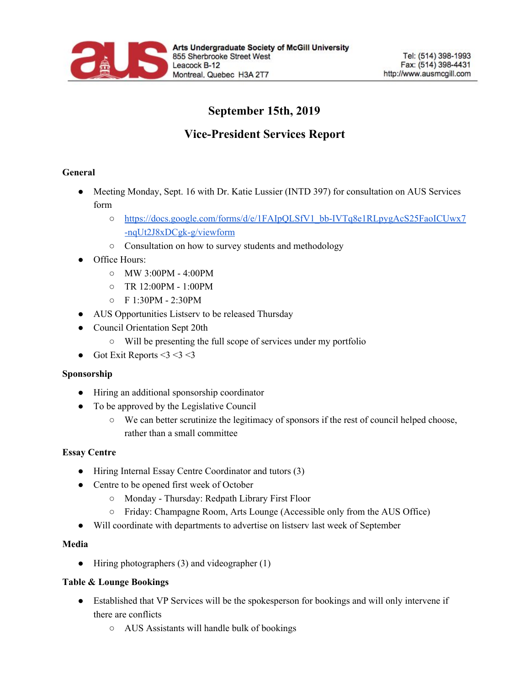

# **September 15th, 2019**

## **Vice-President Services Report**

#### **General**

• Meeting Monday, Sept. 16 with Dr. Katie Lussier (INTD 397) for consultation on AUS Services form

- o [https://docs.google.com/forms/d/e/1FAIpQLSfV1\\_bb-IVTq8e1RLpygAcS25FaoICUwx7](https://docs.google.com/forms/d/e/1FAIpQLSfV1_bb-IVTq8e1RLpygAcS25FaoICUwx7-nqUt2J8xDCgk-g/viewform) [-nqUt2J8xDCgk-g/viewform](https://docs.google.com/forms/d/e/1FAIpQLSfV1_bb-IVTq8e1RLpygAcS25FaoICUwx7-nqUt2J8xDCgk-g/viewform)
- Consultation on how to survey students and methodology
- Office Hours:
	- MW 3:00PM 4:00PM
	- TR 12:00PM 1:00PM
	- F 1:30PM 2:30PM
- AUS Opportunities Listserv to be released Thursday
- Council Orientation Sept 20th
	- Will be presenting the full scope of services under my portfolio
- Got Exit Reports  $<$  3  $<$  3  $<$  3

### **Sponsorship**

- Hiring an additional sponsorship coordinator
- To be approved by the Legislative Council
	- We can better scrutinize the legitimacy of sponsors if the rest of council helped choose, rather than a small committee

### **Essay Centre**

- Hiring Internal Essay Centre Coordinator and tutors (3)
- Centre to be opened first week of October
	- Monday Thursday: Redpath Library First Floor
	- Friday: Champagne Room, Arts Lounge (Accessible only from the AUS Office)
- Will coordinate with departments to advertise on listserv last week of September

### **Media**

• Hiring photographers (3) and videographer (1)

### **Table & Lounge Bookings**

- Established that VP Services will be the spokesperson for bookings and will only intervene if there are conflicts
	- AUS Assistants will handle bulk of bookings